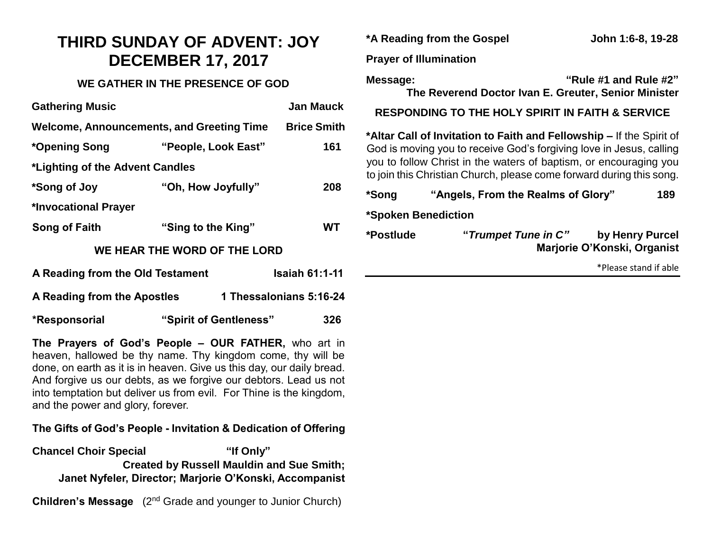# **THIRD SUNDAY OF ADVENT: JOY DECEMBER 17, 2017**

### **WE GATHER IN THE PRESENCE OF GOD**

| <b>Gathering Music</b>                    |                        | <b>Jan Mauck</b>        |  |
|-------------------------------------------|------------------------|-------------------------|--|
| Welcome, Announcements, and Greeting Time |                        | <b>Brice Smith</b>      |  |
| *Opening Song                             | "People, Look East"    | 161                     |  |
| *Lighting of the Advent Candles           |                        |                         |  |
| *Song of Joy                              | "Oh, How Joyfully"     | 208                     |  |
| *Invocational Prayer                      |                        |                         |  |
| Song of Faith                             | "Sing to the King"     | WT.                     |  |
| WE HEAR THE WORD OF THE LORD              |                        |                         |  |
| A Reading from the Old Testament          |                        | <b>Isaiah 61:1-11</b>   |  |
| A Reading from the Apostles               |                        | 1 Thessalonians 5:16-24 |  |
| *Responsorial                             | "Spirit of Gentleness" | 326                     |  |

**The Prayers of God's People – OUR FATHER,** who art in heaven, hallowed be thy name. Thy kingdom come, thy will be done, on earth as it is in heaven. Give us this day, our daily bread. And forgive us our debts, as we forgive our debtors. Lead us not into temptation but deliver us from evil. For Thine is the kingdom, and the power and glory, forever.

#### **The Gifts of God's People - Invitation & Dedication of Offering**

**Chancel Choir Special "If Only" Created by Russell Mauldin and Sue Smith; Janet Nyfeler, Director; Marjorie O'Konski, Accompanist**

**Children's Message** (2<sup>nd</sup> Grade and younger to Junior Church)

|                               | *A Reading from the Gospel                                                                                                                                                                                                                                                               | John 1:6-8, 19-28                              |  |
|-------------------------------|------------------------------------------------------------------------------------------------------------------------------------------------------------------------------------------------------------------------------------------------------------------------------------------|------------------------------------------------|--|
| <b>Prayer of Illumination</b> |                                                                                                                                                                                                                                                                                          |                                                |  |
| Message:                      | The Reverend Doctor Ivan E. Greuter, Senior Minister                                                                                                                                                                                                                                     | "Rule #1 and Rule #2"                          |  |
|                               | <b>RESPONDING TO THE HOLY SPIRIT IN FAITH &amp; SERVICE</b>                                                                                                                                                                                                                              |                                                |  |
|                               | *Altar Call of Invitation to Faith and Fellowship – If the Spirit of<br>God is moving you to receive God's forgiving love in Jesus, calling<br>you to follow Christ in the waters of baptism, or encouraging you<br>to join this Christian Church, please come forward during this song. |                                                |  |
| *Song                         | "Angels, From the Realms of Glory"                                                                                                                                                                                                                                                       | 189                                            |  |
| *Spoken Benediction           |                                                                                                                                                                                                                                                                                          |                                                |  |
| *Postlude                     | "Trumpet Tune in C"                                                                                                                                                                                                                                                                      | by Henry Purcel<br>Marjorie O'Konski, Organist |  |
|                               |                                                                                                                                                                                                                                                                                          | *Please stand if able                          |  |
|                               |                                                                                                                                                                                                                                                                                          |                                                |  |